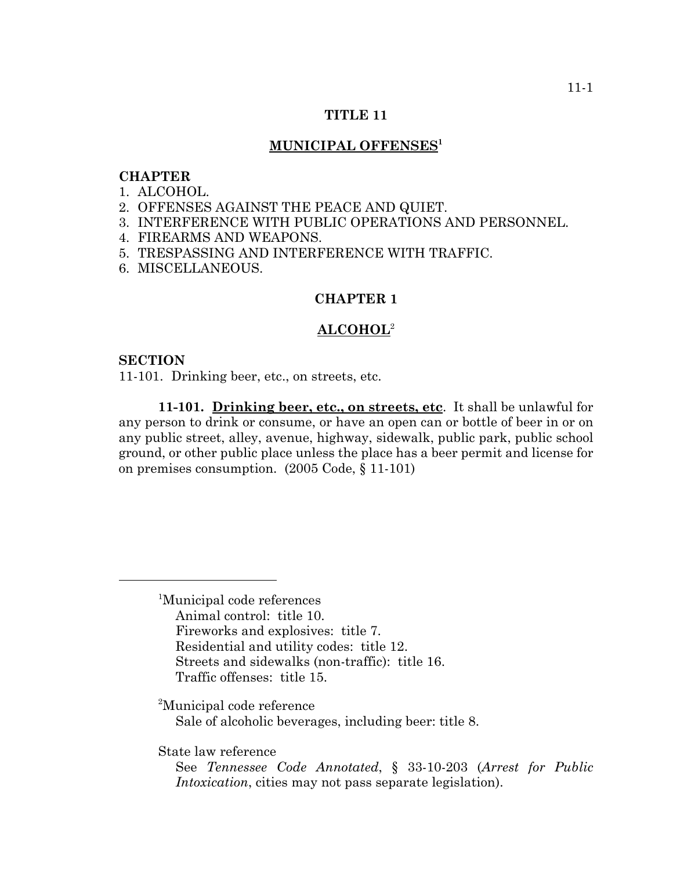# **TITLE 11**

# **MUNICIPAL OFFENSES1**

# **CHAPTER**

- 1. ALCOHOL.
- 2. OFFENSES AGAINST THE PEACE AND QUIET.
- 3. INTERFERENCE WITH PUBLIC OPERATIONS AND PERSONNEL.
- 4. FIREARMS AND WEAPONS.
- 5. TRESPASSING AND INTERFERENCE WITH TRAFFIC.
- 6. MISCELLANEOUS.

#### **CHAPTER 1**

#### **ALCOHOL**<sup>2</sup>

#### **SECTION**

11-101. Drinking beer, etc., on streets, etc.

**11-101. Drinking beer, etc., on streets, etc**. It shall be unlawful for any person to drink or consume, or have an open can or bottle of beer in or on any public street, alley, avenue, highway, sidewalk, public park, public school ground, or other public place unless the place has a beer permit and license for on premises consumption. (2005 Code, § 11-101)

1 Municipal code references Animal control: title 10. Fireworks and explosives: title 7. Residential and utility codes: title 12. Streets and sidewalks (non-traffic): title 16. Traffic offenses: title 15.

<sup>2</sup>Municipal code reference Sale of alcoholic beverages, including beer: title 8.

State law reference

See *Tennessee Code Annotated*, § 33-10-203 (*Arrest for Public Intoxication*, cities may not pass separate legislation).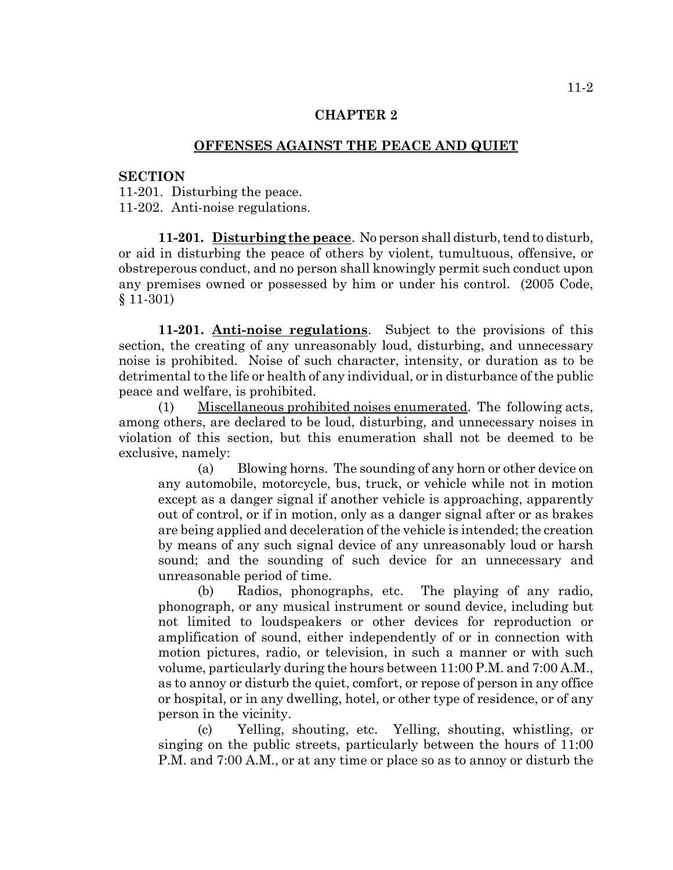# **OFFENSES AGAINST THE PEACE AND QUIET**

#### **SECTION**

11-201. Disturbing the peace. 11-202. Anti-noise regulations.

**11-201. Disturbing the peace**. No person shall disturb, tend to disturb, or aid in disturbing the peace of others by violent, tumultuous, offensive, or obstreperous conduct, and no person shall knowingly permit such conduct upon any premises owned or possessed by him or under his control. (2005 Code, § 11-301)

**11-201. Anti-noise regulations**. Subject to the provisions of this section, the creating of any unreasonably loud, disturbing, and unnecessary noise is prohibited. Noise of such character, intensity, or duration as to be detrimental to the life or health of any individual, or in disturbance of the public peace and welfare, is prohibited.

(1) Miscellaneous prohibited noises enumerated. The following acts, among others, are declared to be loud, disturbing, and unnecessary noises in violation of this section, but this enumeration shall not be deemed to be exclusive, namely:

(a) Blowing horns. The sounding of any horn or other device on any automobile, motorcycle, bus, truck, or vehicle while not in motion except as a danger signal if another vehicle is approaching, apparently out of control, or if in motion, only as a danger signal after or as brakes are being applied and deceleration of the vehicle is intended; the creation by means of any such signal device of any unreasonably loud or harsh sound; and the sounding of such device for an unnecessary and unreasonable period of time.

(b) Radios, phonographs, etc. The playing of any radio, phonograph, or any musical instrument or sound device, including but not limited to loudspeakers or other devices for reproduction or amplification of sound, either independently of or in connection with motion pictures, radio, or television, in such a manner or with such volume, particularly during the hours between 11:00 P.M. and 7:00 A.M., as to annoy or disturb the quiet, comfort, or repose of person in any office or hospital, or in any dwelling, hotel, or other type of residence, or of any person in the vicinity.

(c) Yelling, shouting, etc. Yelling, shouting, whistling, or singing on the public streets, particularly between the hours of 11:00 P.M. and 7:00 A.M., or at any time or place so as to annoy or disturb the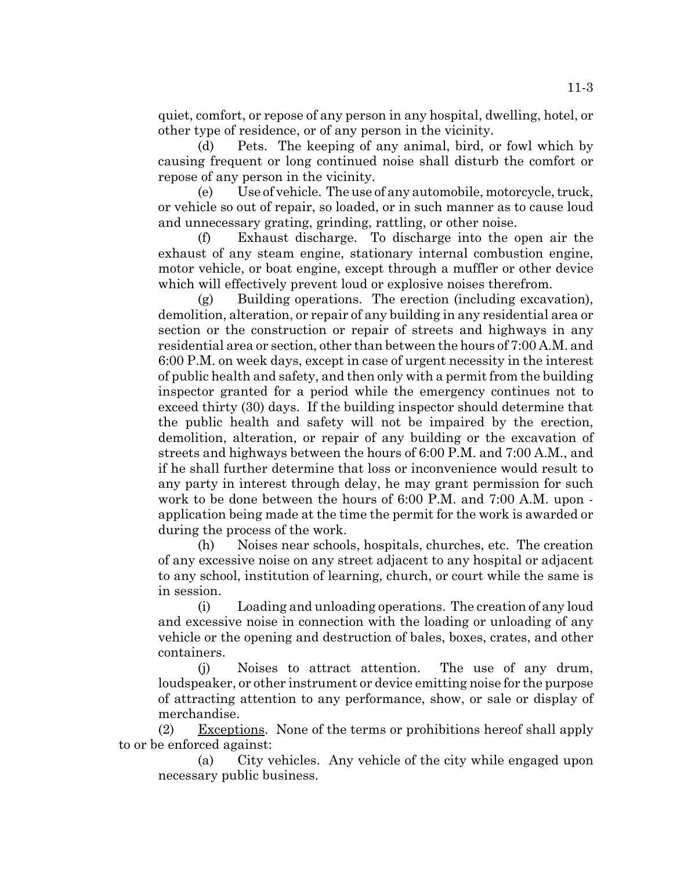quiet, comfort, or repose of any person in any hospital, dwelling, hotel, or other type of residence, or of any person in the vicinity.

(d) Pets. The keeping of any animal, bird, or fowl which by causing frequent or long continued noise shall disturb the comfort or repose of any person in the vicinity.

(e) Use of vehicle. The use of any automobile, motorcycle, truck, or vehicle so out of repair, so loaded, or in such manner as to cause loud and unnecessary grating, grinding, rattling, or other noise.

(f) Exhaust discharge. To discharge into the open air the exhaust of any steam engine, stationary internal combustion engine, motor vehicle, or boat engine, except through a muffler or other device which will effectively prevent loud or explosive noises therefrom.

(g) Building operations. The erection (including excavation), demolition, alteration, or repair of any building in any residential area or section or the construction or repair of streets and highways in any residential area or section, other than between the hours of 7:00 A.M. and 6:00 P.M. on week days, except in case of urgent necessity in the interest of public health and safety, and then only with a permit from the building inspector granted for a period while the emergency continues not to exceed thirty (30) days. If the building inspector should determine that the public health and safety will not be impaired by the erection, demolition, alteration, or repair of any building or the excavation of streets and highways between the hours of 6:00 P.M. and 7:00 A.M., and if he shall further determine that loss or inconvenience would result to any party in interest through delay, he may grant permission for such work to be done between the hours of 6:00 P.M. and 7:00 A.M. upon application being made at the time the permit for the work is awarded or during the process of the work.

(h) Noises near schools, hospitals, churches, etc. The creation of any excessive noise on any street adjacent to any hospital or adjacent to any school, institution of learning, church, or court while the same is in session.

(i) Loading and unloading operations. The creation of any loud and excessive noise in connection with the loading or unloading of any vehicle or the opening and destruction of bales, boxes, crates, and other containers.

(j) Noises to attract attention. The use of any drum, loudspeaker, or other instrument or device emitting noise for the purpose of attracting attention to any performance, show, or sale or display of merchandise.

 $(2)$  Exceptions. None of the terms or prohibitions hereof shall apply to or be enforced against:

(a) City vehicles. Any vehicle of the city while engaged upon necessary public business.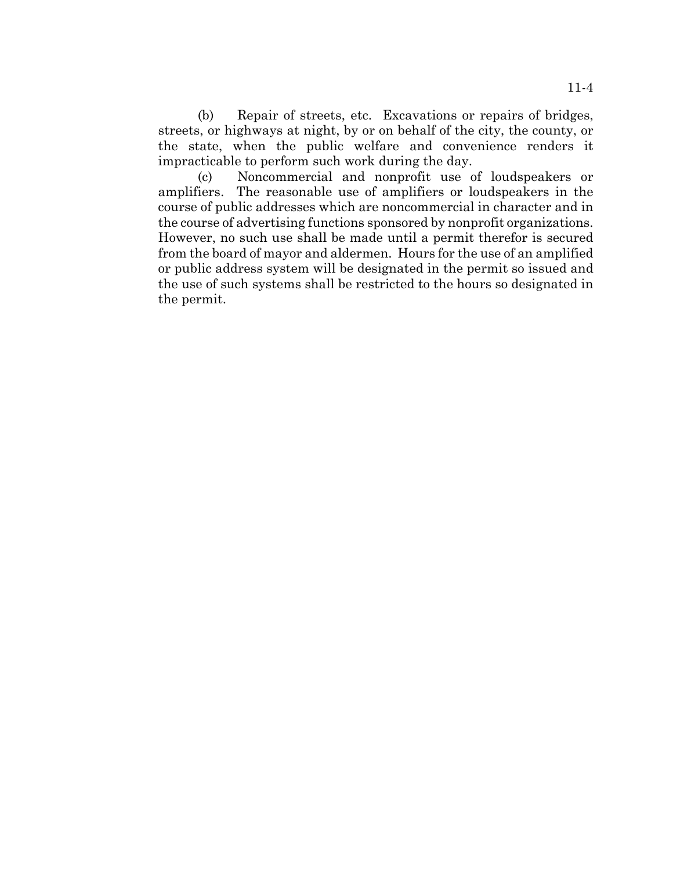(b) Repair of streets, etc. Excavations or repairs of bridges, streets, or highways at night, by or on behalf of the city, the county, or the state, when the public welfare and convenience renders it impracticable to perform such work during the day.

(c) Noncommercial and nonprofit use of loudspeakers or amplifiers. The reasonable use of amplifiers or loudspeakers in the course of public addresses which are noncommercial in character and in the course of advertising functions sponsored by nonprofit organizations. However, no such use shall be made until a permit therefor is secured from the board of mayor and aldermen. Hours for the use of an amplified or public address system will be designated in the permit so issued and the use of such systems shall be restricted to the hours so designated in the permit.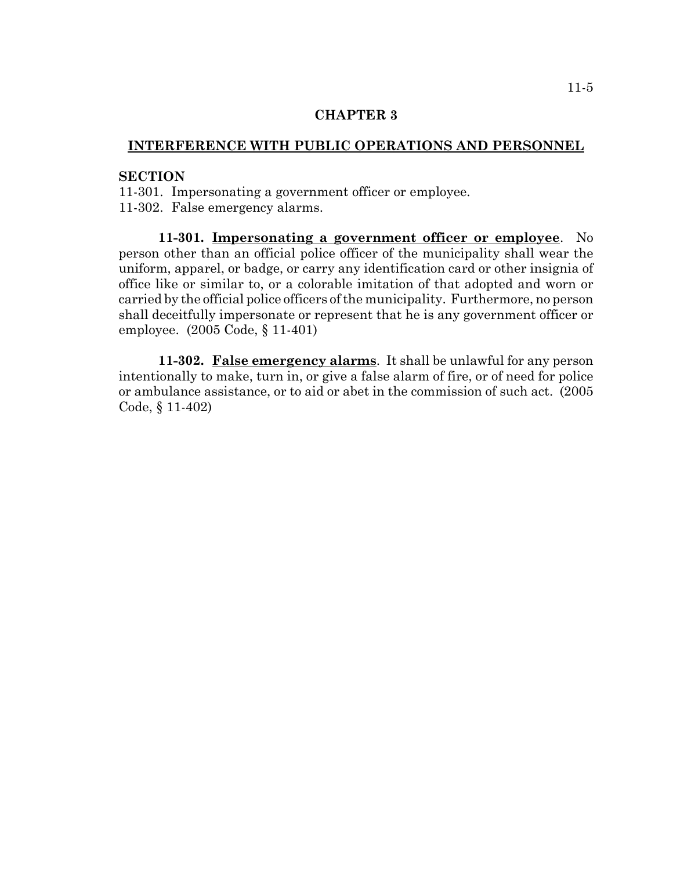# **INTERFERENCE WITH PUBLIC OPERATIONS AND PERSONNEL**

# **SECTION**

11-301. Impersonating a government officer or employee. 11-302. False emergency alarms.

**11-301. Impersonating a government officer or employee**. No person other than an official police officer of the municipality shall wear the uniform, apparel, or badge, or carry any identification card or other insignia of office like or similar to, or a colorable imitation of that adopted and worn or carried by the official police officers of the municipality. Furthermore, no person shall deceitfully impersonate or represent that he is any government officer or employee. (2005 Code, § 11-401)

**11-302. False emergency alarms**. It shall be unlawful for any person intentionally to make, turn in, or give a false alarm of fire, or of need for police or ambulance assistance, or to aid or abet in the commission of such act. (2005 Code, § 11-402)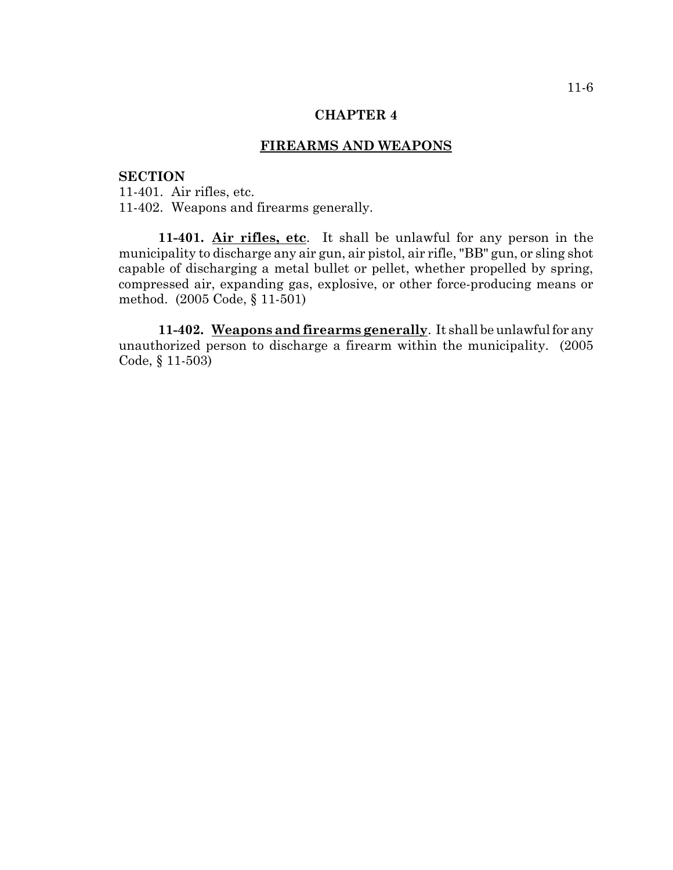# **FIREARMS AND WEAPONS**

## **SECTION**

11-401. Air rifles, etc. 11-402. Weapons and firearms generally.

**11-401. Air rifles, etc**. It shall be unlawful for any person in the municipality to discharge any air gun, air pistol, air rifle, "BB" gun, or sling shot capable of discharging a metal bullet or pellet, whether propelled by spring, compressed air, expanding gas, explosive, or other force-producing means or method. (2005 Code, § 11-501)

**11-402. Weapons and firearms generally**. It shall be unlawful for any unauthorized person to discharge a firearm within the municipality. (2005 Code, § 11-503)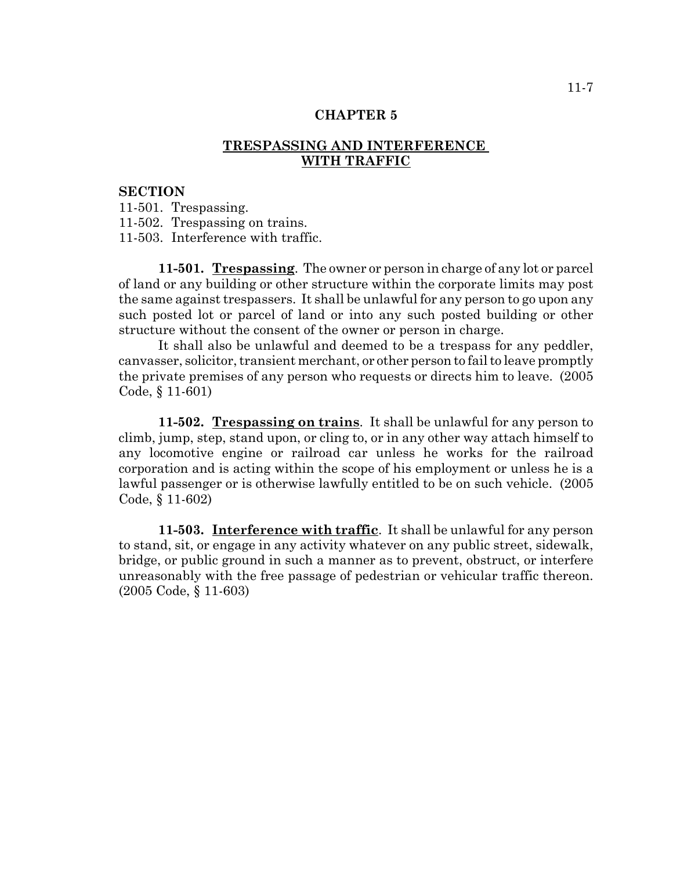# **TRESPASSING AND INTERFERENCE WITH TRAFFIC**

### **SECTION**

11-501. Trespassing.

11-502. Trespassing on trains.

11-503. Interference with traffic.

**11-501. Trespassing**. The owner or person in charge of any lot or parcel of land or any building or other structure within the corporate limits may post the same against trespassers. It shall be unlawful for any person to go upon any such posted lot or parcel of land or into any such posted building or other structure without the consent of the owner or person in charge.

It shall also be unlawful and deemed to be a trespass for any peddler, canvasser, solicitor, transient merchant, or other person to fail to leave promptly the private premises of any person who requests or directs him to leave. (2005 Code, § 11-601)

**11-502. Trespassing on trains**. It shall be unlawful for any person to climb, jump, step, stand upon, or cling to, or in any other way attach himself to any locomotive engine or railroad car unless he works for the railroad corporation and is acting within the scope of his employment or unless he is a lawful passenger or is otherwise lawfully entitled to be on such vehicle. (2005 Code, § 11-602)

**11-503. Interference with traffic**. It shall be unlawful for any person to stand, sit, or engage in any activity whatever on any public street, sidewalk, bridge, or public ground in such a manner as to prevent, obstruct, or interfere unreasonably with the free passage of pedestrian or vehicular traffic thereon. (2005 Code, § 11-603)